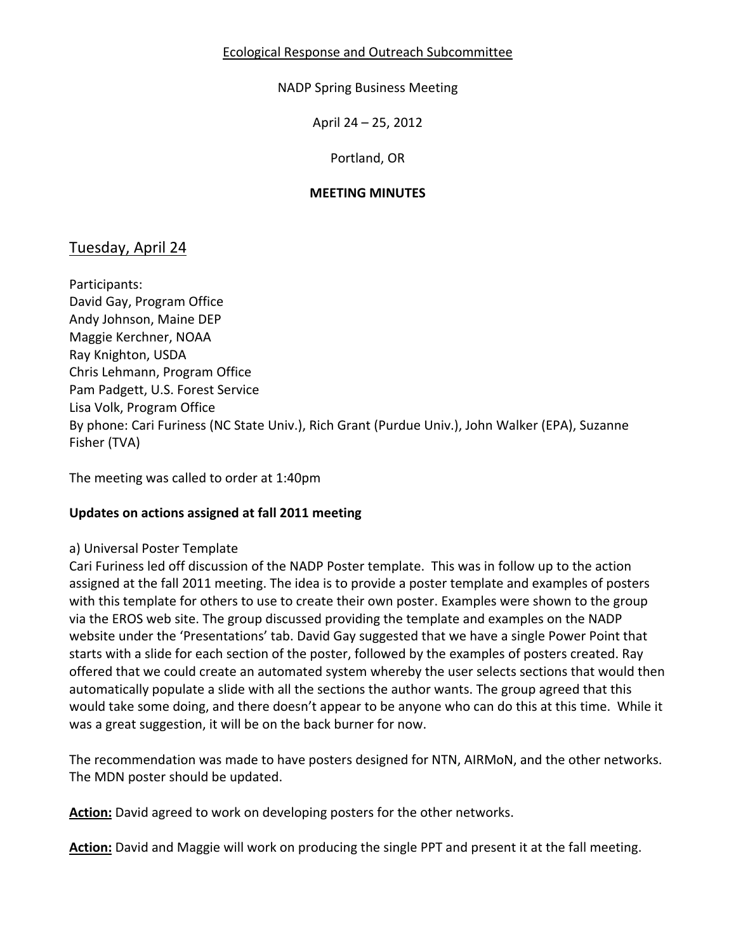#### NADP Spring Business Meeting

April 24 – 25, 2012

Portland, OR

#### **MEETING MINUTES**

# Tuesday, April 24

Participants: David Gay, Program Office Andy Johnson, Maine DEP Maggie Kerchner, NOAA Ray Knighton, USDA Chris Lehmann, Program Office Pam Padgett, U.S. Forest Service Lisa Volk, Program Office By phone: Cari Furiness (NC State Univ.), Rich Grant (Purdue Univ.), John Walker (EPA), Suzanne Fisher (TVA)

The meeting was called to order at 1:40pm

## **Updates on actions assigned at fall 2011 meeting**

#### a) Universal Poster Template

Cari Furiness led off discussion of the NADP Poster template. This was in follow up to the action assigned at the fall 2011 meeting. The idea is to provide a poster template and examples of posters with this template for others to use to create their own poster. Examples were shown to the group via the EROS web site. The group discussed providing the template and examples on the NADP website under the 'Presentations' tab. David Gay suggested that we have a single Power Point that starts with a slide for each section of the poster, followed by the examples of posters created. Ray offered that we could create an automated system whereby the user selects sections that would then automatically populate a slide with all the sections the author wants. The group agreed that this would take some doing, and there doesn't appear to be anyone who can do this at this time. While it was a great suggestion, it will be on the back burner for now.

The recommendation was made to have posters designed for NTN, AIRMoN, and the other networks. The MDN poster should be updated.

**Action:** David agreed to work on developing posters for the other networks.

**Action:** David and Maggie will work on producing the single PPT and present it at the fall meeting.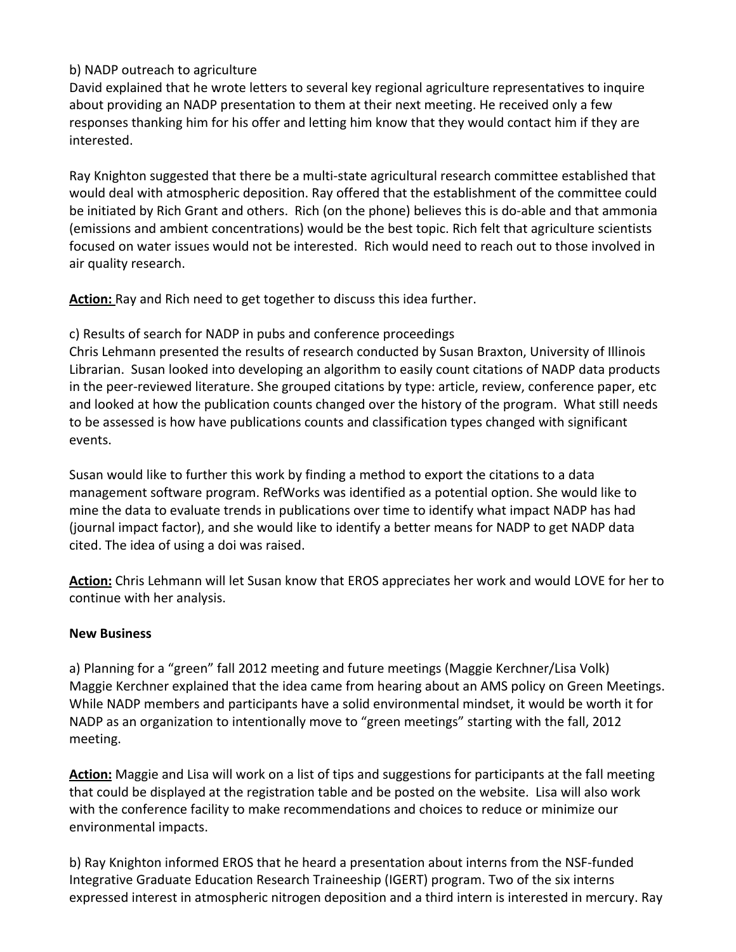# b) NADP outreach to agriculture

David explained that he wrote letters to several key regional agriculture representatives to inquire about providing an NADP presentation to them at their next meeting. He received only a few responses thanking him for his offer and letting him know that they would contact him if they are interested.

Ray Knighton suggested that there be a multi-state agricultural research committee established that would deal with atmospheric deposition. Ray offered that the establishment of the committee could be initiated by Rich Grant and others. Rich (on the phone) believes this is do-able and that ammonia (emissions and ambient concentrations) would be the best topic. Rich felt that agriculture scientists focused on water issues would not be interested. Rich would need to reach out to those involved in air quality research.

**Action:** Ray and Rich need to get together to discuss this idea further.

c) Results of search for NADP in pubs and conference proceedings

Chris Lehmann presented the results of research conducted by Susan Braxton, University of Illinois Librarian. Susan looked into developing an algorithm to easily count citations of NADP data products in the peer-reviewed literature. She grouped citations by type: article, review, conference paper, etc and looked at how the publication counts changed over the history of the program. What still needs to be assessed is how have publications counts and classification types changed with significant events.

Susan would like to further this work by finding a method to export the citations to a data management software program. RefWorks was identified as a potential option. She would like to mine the data to evaluate trends in publications over time to identify what impact NADP has had (journal impact factor), and she would like to identify a better means for NADP to get NADP data cited. The idea of using a doi was raised.

**Action:** Chris Lehmann will let Susan know that EROS appreciates her work and would LOVE for her to continue with her analysis.

## **New Business**

a) Planning for a "green" fall 2012 meeting and future meetings (Maggie Kerchner/Lisa Volk) Maggie Kerchner explained that the idea came from hearing about an AMS policy on Green Meetings. While NADP members and participants have a solid environmental mindset, it would be worth it for NADP as an organization to intentionally move to "green meetings" starting with the fall, 2012 meeting.

**Action:** Maggie and Lisa will work on a list of tips and suggestions for participants at the fall meeting that could be displayed at the registration table and be posted on the website. Lisa will also work with the conference facility to make recommendations and choices to reduce or minimize our environmental impacts.

b) Ray Knighton informed EROS that he heard a presentation about interns from the NSF-funded Integrative Graduate Education Research Traineeship (IGERT) program. Two of the six interns expressed interest in atmospheric nitrogen deposition and a third intern is interested in mercury. Ray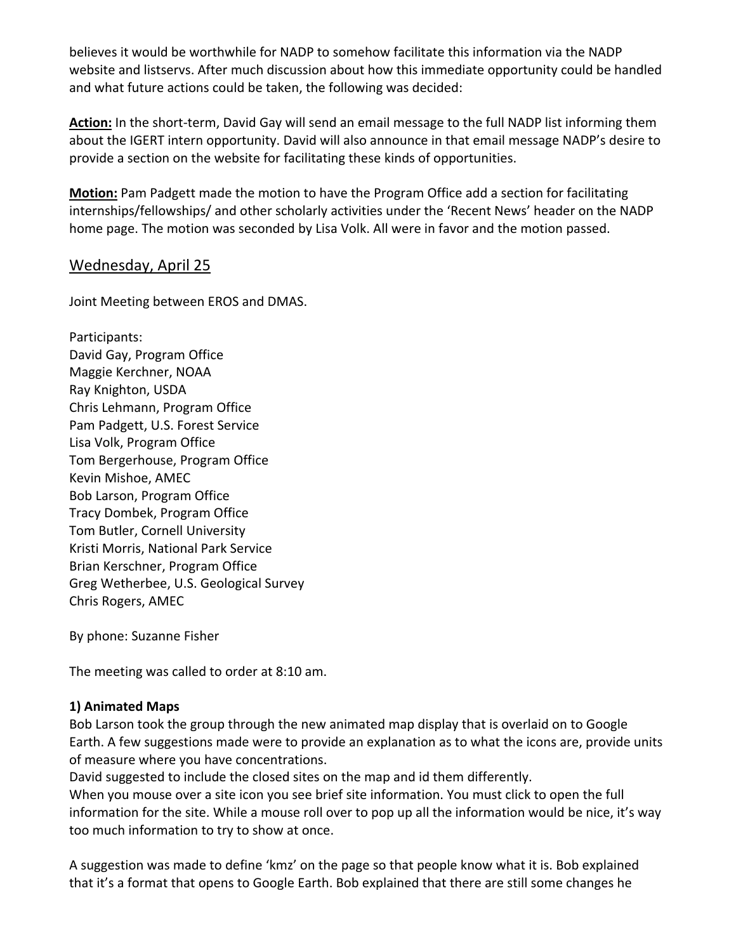believes it would be worthwhile for NADP to somehow facilitate this information via the NADP website and listservs. After much discussion about how this immediate opportunity could be handled and what future actions could be taken, the following was decided:

**Action:** In the short-term, David Gay will send an email message to the full NADP list informing them about the IGERT intern opportunity. David will also announce in that email message NADP's desire to provide a section on the website for facilitating these kinds of opportunities.

**Motion:** Pam Padgett made the motion to have the Program Office add a section for facilitating internships/fellowships/ and other scholarly activities under the 'Recent News' header on the NADP home page. The motion was seconded by Lisa Volk. All were in favor and the motion passed.

# Wednesday, April 25

Joint Meeting between EROS and DMAS.

Participants: David Gay, Program Office Maggie Kerchner, NOAA Ray Knighton, USDA Chris Lehmann, Program Office Pam Padgett, U.S. Forest Service Lisa Volk, Program Office Tom Bergerhouse, Program Office Kevin Mishoe, AMEC Bob Larson, Program Office Tracy Dombek, Program Office Tom Butler, Cornell University Kristi Morris, National Park Service Brian Kerschner, Program Office Greg Wetherbee, U.S. Geological Survey Chris Rogers, AMEC

By phone: Suzanne Fisher

The meeting was called to order at 8:10 am.

## **1) Animated Maps**

Bob Larson took the group through the new animated map display that is overlaid on to Google Earth. A few suggestions made were to provide an explanation as to what the icons are, provide units of measure where you have concentrations.

David suggested to include the closed sites on the map and id them differently. When you mouse over a site icon you see brief site information. You must click to open the full information for the site. While a mouse roll over to pop up all the information would be nice, it's way too much information to try to show at once.

A suggestion was made to define 'kmz' on the page so that people know what it is. Bob explained that it's a format that opens to Google Earth. Bob explained that there are still some changes he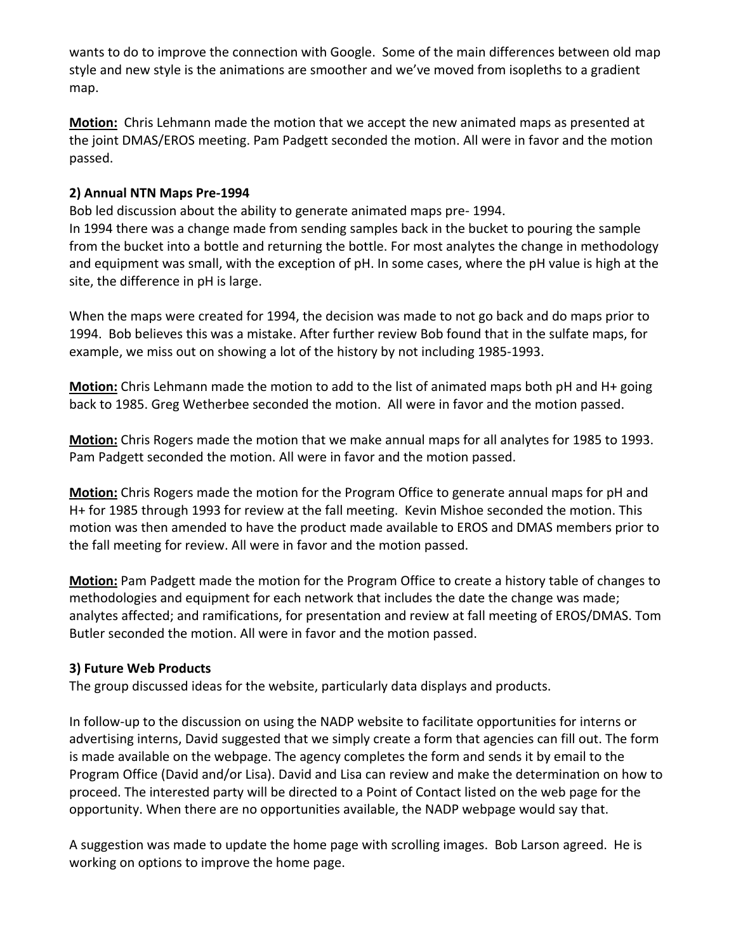wants to do to improve the connection with Google. Some of the main differences between old map style and new style is the animations are smoother and we've moved from isopleths to a gradient map.

**Motion:** Chris Lehmann made the motion that we accept the new animated maps as presented at the joint DMAS/EROS meeting. Pam Padgett seconded the motion. All were in favor and the motion passed.

#### **2) Annual NTN Maps Pre-1994**

Bob led discussion about the ability to generate animated maps pre- 1994.

In 1994 there was a change made from sending samples back in the bucket to pouring the sample from the bucket into a bottle and returning the bottle. For most analytes the change in methodology and equipment was small, with the exception of pH. In some cases, where the pH value is high at the site, the difference in pH is large.

When the maps were created for 1994, the decision was made to not go back and do maps prior to 1994. Bob believes this was a mistake. After further review Bob found that in the sulfate maps, for example, we miss out on showing a lot of the history by not including 1985-1993.

**Motion:** Chris Lehmann made the motion to add to the list of animated maps both pH and H+ going back to 1985. Greg Wetherbee seconded the motion. All were in favor and the motion passed.

**Motion:** Chris Rogers made the motion that we make annual maps for all analytes for 1985 to 1993. Pam Padgett seconded the motion. All were in favor and the motion passed.

**Motion:** Chris Rogers made the motion for the Program Office to generate annual maps for pH and H+ for 1985 through 1993 for review at the fall meeting. Kevin Mishoe seconded the motion. This motion was then amended to have the product made available to EROS and DMAS members prior to the fall meeting for review. All were in favor and the motion passed.

**Motion:** Pam Padgett made the motion for the Program Office to create a history table of changes to methodologies and equipment for each network that includes the date the change was made; analytes affected; and ramifications, for presentation and review at fall meeting of EROS/DMAS. Tom Butler seconded the motion. All were in favor and the motion passed.

## **3) Future Web Products**

The group discussed ideas for the website, particularly data displays and products.

In follow-up to the discussion on using the NADP website to facilitate opportunities for interns or advertising interns, David suggested that we simply create a form that agencies can fill out. The form is made available on the webpage. The agency completes the form and sends it by email to the Program Office (David and/or Lisa). David and Lisa can review and make the determination on how to proceed. The interested party will be directed to a Point of Contact listed on the web page for the opportunity. When there are no opportunities available, the NADP webpage would say that.

A suggestion was made to update the home page with scrolling images. Bob Larson agreed. He is working on options to improve the home page.